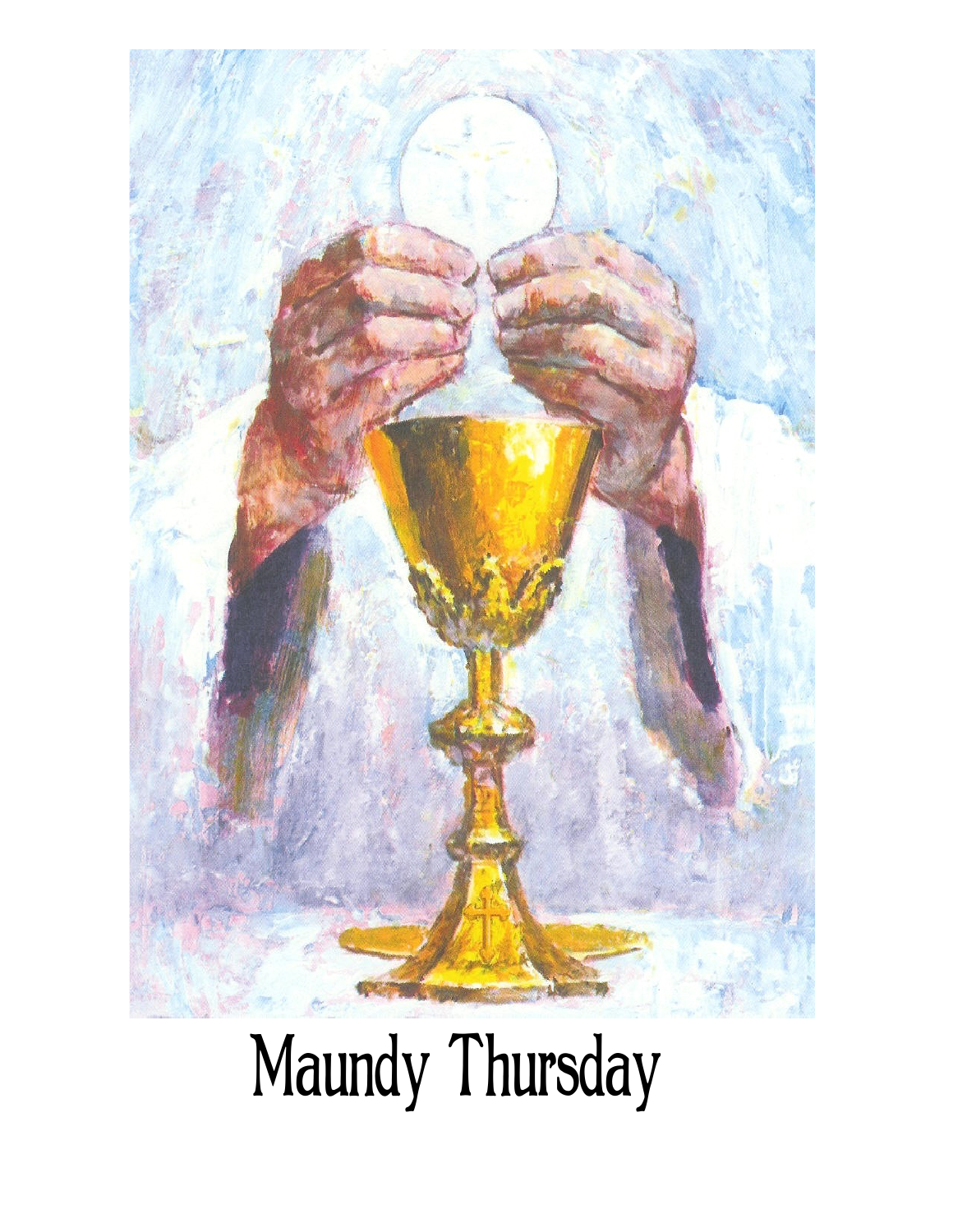

# Maundy Thursday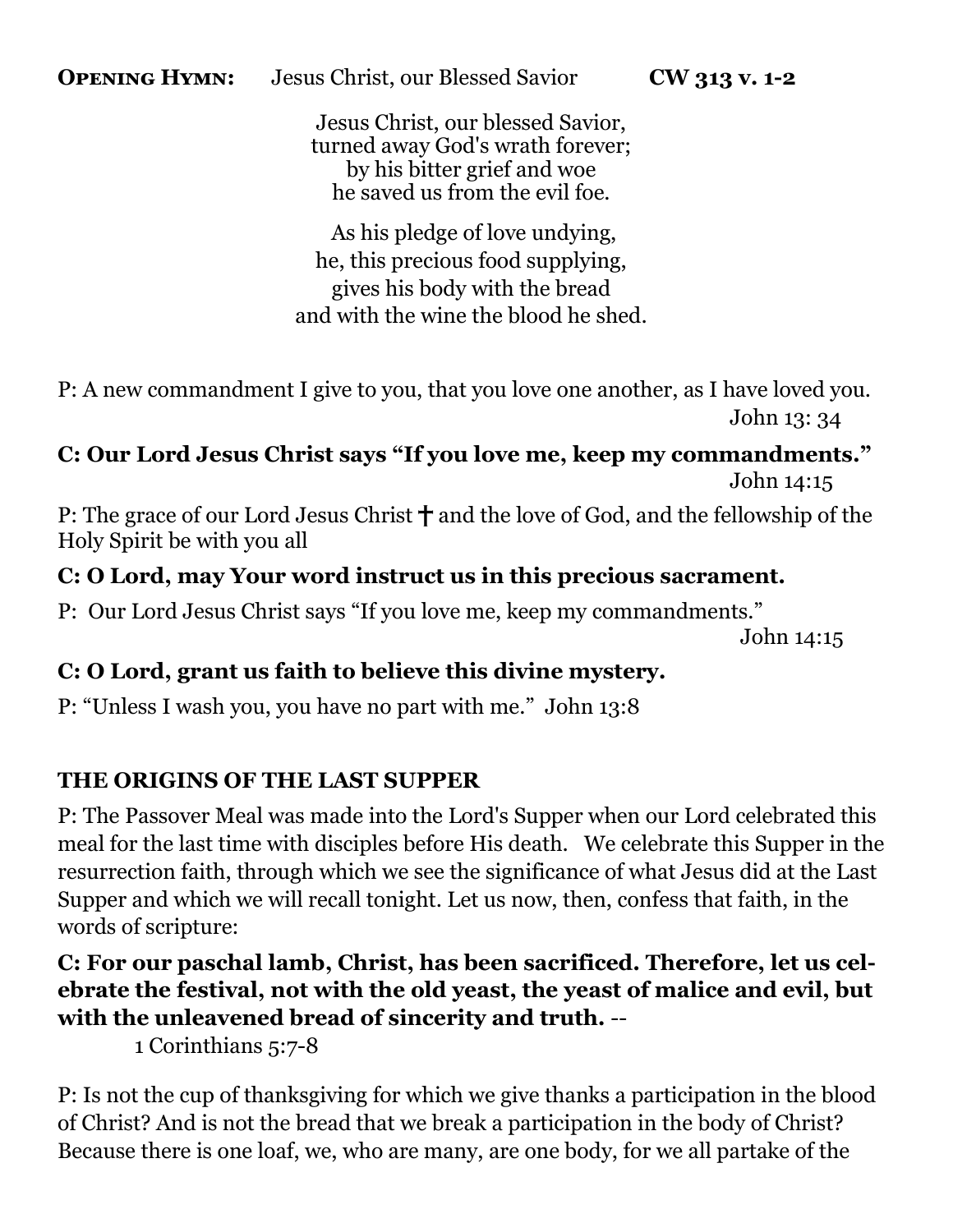Jesus Christ, our blessed Savior, turned away God's wrath forever; by his bitter grief and woe he saved us from the evil foe.

As his pledge of love undying, he, this precious food supplying, gives his body with the bread and with the wine the blood he shed.

P: A new commandment I give to you, that you love one another, as I have loved you. John 13: 34

# **C: Our Lord Jesus Christ says "If you love me, keep my commandments."**  John 14:15

P: The grace of our Lord Jesus Christ  $\dagger$  and the love of God, and the fellowship of the Holy Spirit be with you all

# **C: O Lord, may Your word instruct us in this precious sacrament.**

P: Our Lord Jesus Christ says "If you love me, keep my commandments."

John 14:15

## **C: O Lord, grant us faith to believe this divine mystery.**

P: "Unless I wash you, you have no part with me." John 13:8

# **THE ORIGINS OF THE LAST SUPPER**

P: The Passover Meal was made into the Lord's Supper when our Lord celebrated this meal for the last time with disciples before His death. We celebrate this Supper in the resurrection faith, through which we see the significance of what Jesus did at the Last Supper and which we will recall tonight. Let us now, then, confess that faith, in the words of scripture:

# **C: For our paschal lamb, Christ, has been sacrificed. Therefore, let us celebrate the festival, not with the old yeast, the yeast of malice and evil, but with the unleavened bread of sincerity and truth.** --

1 Corinthians 5:7-8

P: Is not the cup of thanksgiving for which we give thanks a participation in the blood of Christ? And is not the bread that we break a participation in the body of Christ? Because there is one loaf, we, who are many, are one body, for we all partake of the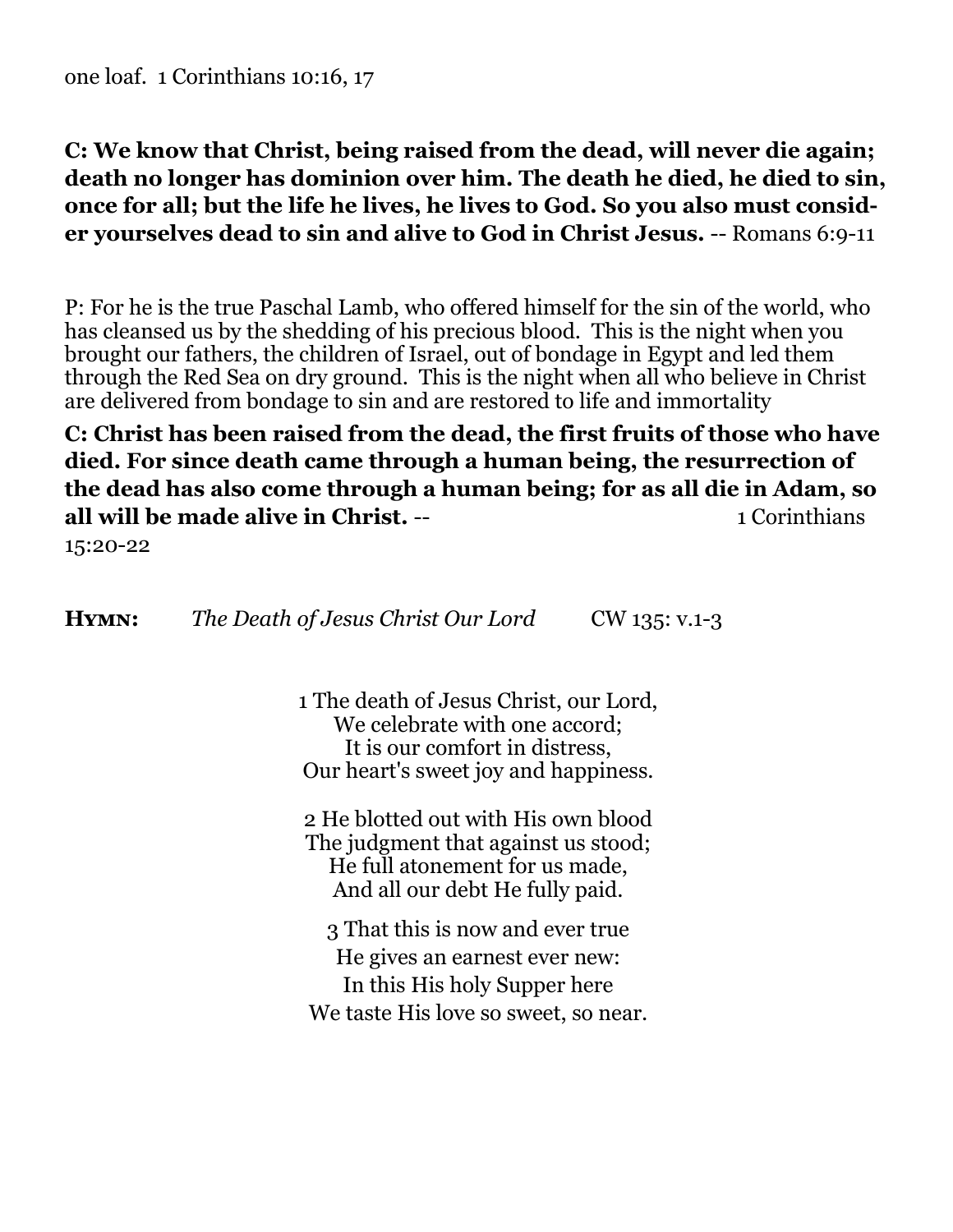# **C: We know that Christ, being raised from the dead, will never die again; death no longer has dominion over him. The death he died, he died to sin, once for all; but the life he lives, he lives to God. So you also must consider yourselves dead to sin and alive to God in Christ Jesus.** -- Romans 6:9-11

P: For he is the true Paschal Lamb, who offered himself for the sin of the world, who has cleansed us by the shedding of his precious blood. This is the night when you brought our fathers, the children of Israel, out of bondage in Egypt and led them through the Red Sea on dry ground. This is the night when all who believe in Christ are delivered from bondage to sin and are restored to life and immortality

**C: Christ has been raised from the dead, the first fruits of those who have died. For since death came through a human being, the resurrection of the dead has also come through a human being; for as all die in Adam, so all will be made alive in Christ.** -- 1 Corinthians

15:20-22

**HYMN:** *The Death of Jesus Christ Our Lord* CW 135: v.1-3

1 The death of Jesus Christ, our Lord, We celebrate with one accord: It is our comfort in distress, Our heart's sweet joy and happiness.

2 He blotted out with His own blood The judgment that against us stood; He full atonement for us made, And all our debt He fully paid.

3 That this is now and ever true He gives an earnest ever new: In this His holy Supper here We taste His love so sweet, so near.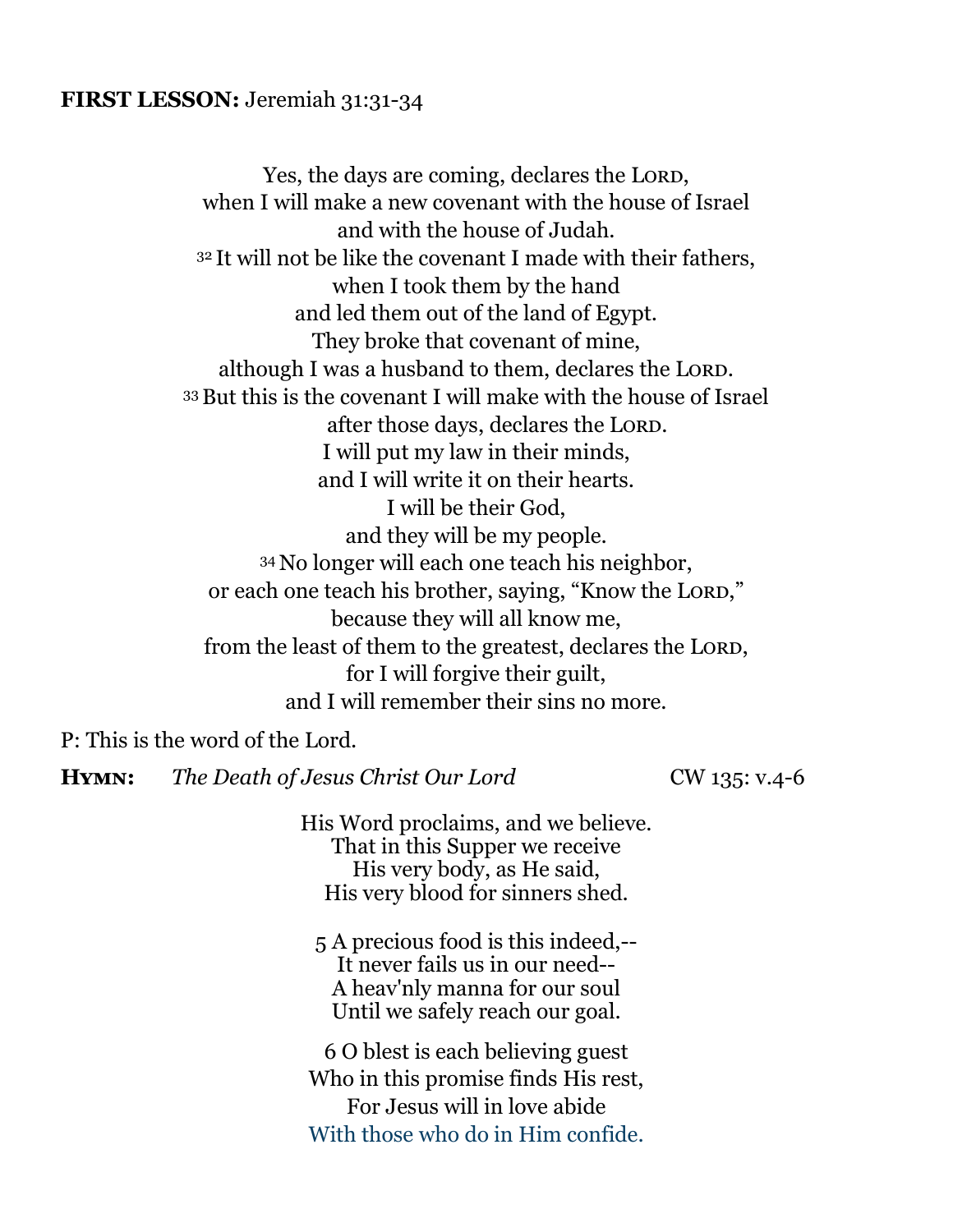#### **FIRST LESSON:** Jeremiah 31:31-34

Yes, the days are coming, declares the LORD, when I will make a new covenant with the house of Israel and with the house of Judah. <sup>32</sup> It will not be like the covenant I made with their fathers, when I took them by the hand and led them out of the land of Egypt. They broke that covenant of mine, although I was a husband to them, declares the LORD. <sup>33</sup>But this is the covenant I will make with the house of Israel after those days, declares the LORD. I will put my law in their minds, and I will write it on their hearts. I will be their God, and they will be my people. <sup>34</sup> No longer will each one teach his neighbor, or each one teach his brother, saying, "Know the Lord," because they will all know me, from the least of them to the greatest, declares the LORD, for I will forgive their guilt, and I will remember their sins no more.

P: This is the word of the Lord.

**HYMN:** *The Death of Jesus Christ Our Lord* CW 135: v.4-6

His Word proclaims, and we believe. That in this Supper we receive His very body, as He said, His very blood for sinners shed.

5 A precious food is this indeed,-- It never fails us in our need-- A heav'nly manna for our soul Until we safely reach our goal.

6 O blest is each believing guest Who in this promise finds His rest, For Jesus will in love abide With those who do in Him confide.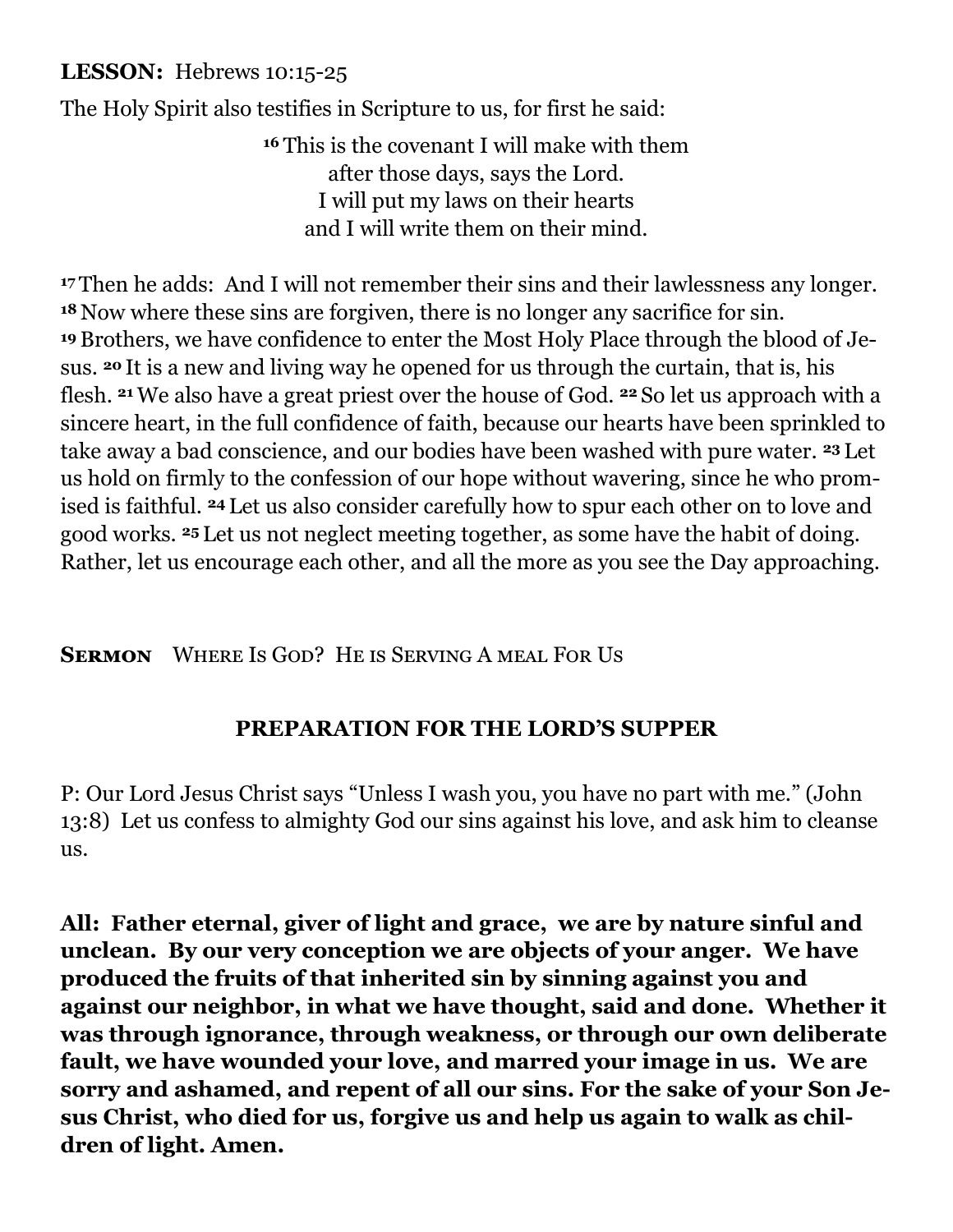## **LESSON:** Hebrews 10:15-25

The Holy Spirit also testifies in Scripture to us, for first he said:

**<sup>16</sup>** This is the covenant I will make with them after those days, says the Lord. I will put my laws on their hearts and I will write them on their mind.

**<sup>17</sup>** Then he adds: And I will not remember their sins and their lawlessness any longer. **<sup>18</sup>** Now where these sins are forgiven, there is no longer any sacrifice for sin. **<sup>19</sup>** Brothers, we have confidence to enter the Most Holy Place through the blood of Jesus. **<sup>20</sup>** It is a new and living way he opened for us through the curtain, that is, his flesh. **<sup>21</sup>**We also have a great priest over the house of God. **<sup>22</sup>** So let us approach with a sincere heart, in the full confidence of faith, because our hearts have been sprinkled to take away a bad conscience, and our bodies have been washed with pure water. **<sup>23</sup>** Let us hold on firmly to the confession of our hope without wavering, since he who promised is faithful. **<sup>24</sup>** Let us also consider carefully how to spur each other on to love and good works. **<sup>25</sup>** Let us not neglect meeting together, as some have the habit of doing. Rather, let us encourage each other, and all the more as you see the Day approaching.

**Sermon** Where Is God? He is Serving A meal For Us

## **PREPARATION FOR THE LORD'S SUPPER**

P: Our Lord Jesus Christ says "Unless I wash you, you have no part with me." (John 13:8) Let us confess to almighty God our sins against his love, and ask him to cleanse us.

**All: Father eternal, giver of light and grace, we are by nature sinful and unclean. By our very conception we are objects of your anger. We have produced the fruits of that inherited sin by sinning against you and against our neighbor, in what we have thought, said and done. Whether it was through ignorance, through weakness, or through our own deliberate fault, we have wounded your love, and marred your image in us. We are sorry and ashamed, and repent of all our sins. For the sake of your Son Jesus Christ, who died for us, forgive us and help us again to walk as children of light. Amen.**